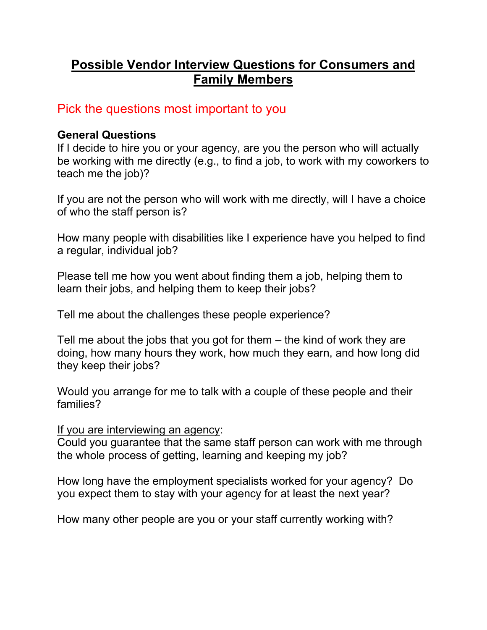# **Possible Vendor Interview Questions for Consumers and Family Members**

## Pick the questions most important to you

#### **General Questions**

If I decide to hire you or your agency, are you the person who will actually be working with me directly (e.g., to find a job, to work with my coworkers to teach me the job)?

If you are not the person who will work with me directly, will I have a choice of who the staff person is?

How many people with disabilities like I experience have you helped to find a regular, individual job?

Please tell me how you went about finding them a job, helping them to learn their jobs, and helping them to keep their jobs?

Tell me about the challenges these people experience?

Tell me about the jobs that you got for them – the kind of work they are doing, how many hours they work, how much they earn, and how long did they keep their jobs?

Would you arrange for me to talk with a couple of these people and their families?

If you are interviewing an agency:

Could you guarantee that the same staff person can work with me through the whole process of getting, learning and keeping my job?

How long have the employment specialists worked for your agency? Do you expect them to stay with your agency for at least the next year?

How many other people are you or your staff currently working with?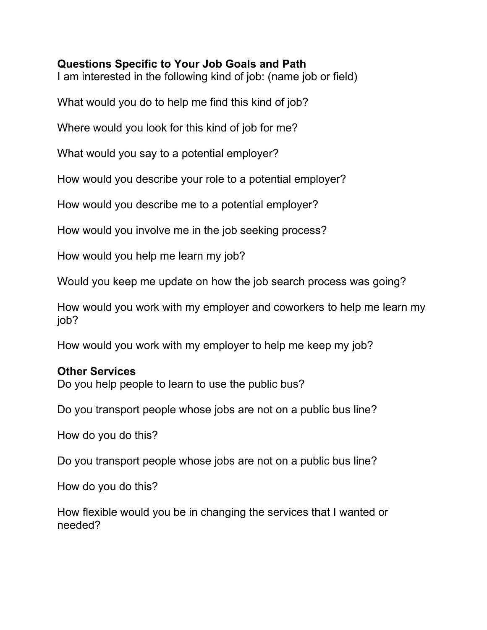#### **Questions Specific to Your Job Goals and Path**

I am interested in the following kind of job: (name job or field)

What would you do to help me find this kind of job?

Where would you look for this kind of job for me?

What would you say to a potential employer?

How would you describe your role to a potential employer?

How would you describe me to a potential employer?

How would you involve me in the job seeking process?

How would you help me learn my job?

Would you keep me update on how the job search process was going?

How would you work with my employer and coworkers to help me learn my job?

How would you work with my employer to help me keep my job?

#### **Other Services**

Do you help people to learn to use the public bus?

Do you transport people whose jobs are not on a public bus line?

How do you do this?

Do you transport people whose jobs are not on a public bus line?

How do you do this?

How flexible would you be in changing the services that I wanted or needed?